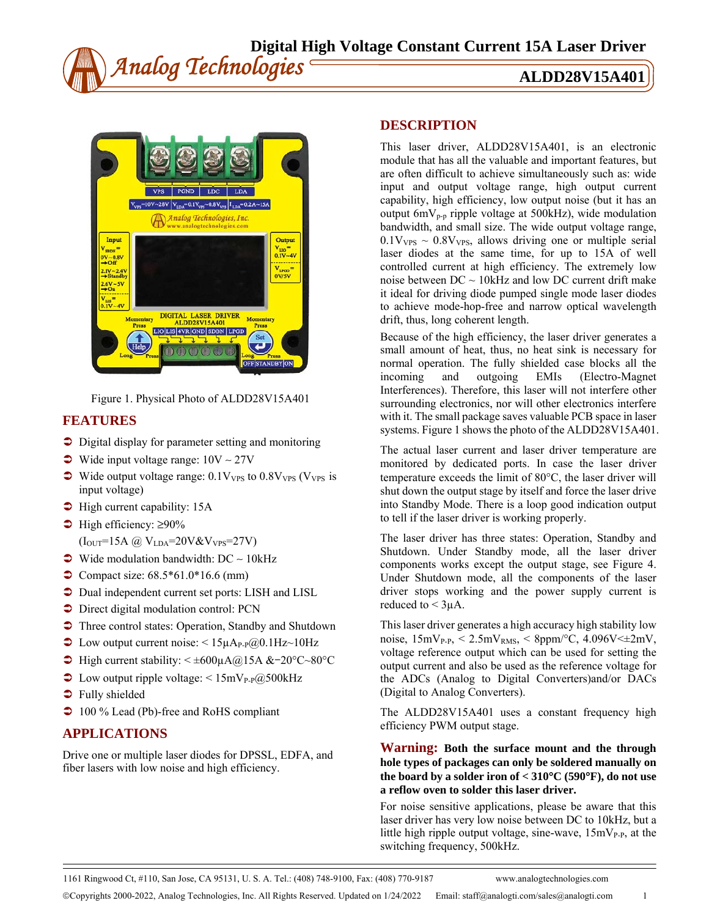# *Analog Technologies ALDD28V15A401*



Figure 1. Physical Photo of ALDD28V15A401

### **FEATURES**

- $\supset$  Digital display for parameter setting and monitoring
- Wide input voltage range: 10V ∼ 27V
- $\bullet$  Wide output voltage range: 0.1V<sub>VPS</sub> to 0.8V<sub>VPS</sub> (V<sub>VPS</sub> is input voltage)
- $\blacktriangleright$  High current capability: 15A
- $\triangle$  High efficiency:  $\geq 90\%$  $(I<sub>OUT</sub>=15A @ V<sub>LDA</sub>=20V&V<sub>VPS</sub>=27V)$
- Wide modulation bandwidth: DC ∼ 10kHz
- Compact size:  $68.5*61.0*16.6$  (mm)
- $\supset$  Dual independent current set ports: LISH and LISL
- $\supset$  Direct digital modulation control: PCN
- $\supset$  Three control states: Operation, Standby and Shutdown
- $\supset$  Low output current noise: <15 $\mu$ A<sub>P-P</sub>@0.1Hz~10Hz
- $\triangleq$  High current stability: <  $\pm 600 \mu A @ 15A \& -20^{\circ}C \sim 80^{\circ}C$
- $\supset$  Low output ripple voltage: <15mV<sub>P-P</sub> $@$ 500kHz
- $\triangleright$  Fully shielded
- **→** 100 % Lead (Pb)-free and RoHS compliant

### **APPLICATIONS**

Drive one or multiple laser diodes for DPSSL, EDFA, and fiber lasers with low noise and high efficiency.

### **DESCRIPTION**

This laser driver, ALDD28V15A401, is an electronic module that has all the valuable and important features, but are often difficult to achieve simultaneously such as: wide input and output voltage range, high output current capability, high efficiency, low output noise (but it has an output  $6mV_{p-p}$  ripple voltage at 500kHz), wide modulation bandwidth, and small size. The wide output voltage range,  $0.1V_{VPS} \sim 0.8V_{VPS}$ , allows driving one or multiple serial laser diodes at the same time, for up to 15A of well controlled current at high efficiency. The extremely low noise between  $DC \sim 10$ kHz and low DC current drift make it ideal for driving diode pumped single mode laser diodes to achieve mode-hop-free and narrow optical wavelength drift, thus, long coherent length.

Because of the high efficiency, the laser driver generates a small amount of heat, thus, no heat sink is necessary for normal operation. The fully shielded case blocks all the incoming and outgoing EMIs (Electro-Magnet Interferences). Therefore, this laser will not interfere other surrounding electronics, nor will other electronics interfere with it. The small package saves valuable PCB space in laser systems. Figure 1 shows the photo of the ALDD28V15A401.

The actual laser current and laser driver temperature are monitored by dedicated ports. In case the laser driver temperature exceeds the limit of 80°C, the laser driver will shut down the output stage by itself and force the laser drive into Standby Mode. There is a loop good indication output to tell if the laser driver is working properly.

The laser driver has three states: Operation, Standby and Shutdown. Under Standby mode, all the laser driver components works except the output stage, see Figure 4. Under Shutdown mode, all the components of the laser driver stops working and the power supply current is reduced to  $\leq 3\mu$ A.

This laser driver generates a high accuracy high stability low noise,  $15 \text{mV}_{P-P}$ ,  $\lt 2.5 \text{mV}_{RMS}$ ,  $\lt 8 \text{ppm}$ <sup>o</sup>C,  $4.096 \text{V} \leq \pm 2 \text{mV}$ , voltage reference output which can be used for setting the output current and also be used as the reference voltage for the ADCs (Analog to Digital Converters)and/or DACs (Digital to Analog Converters).

The ALDD28V15A401 uses a constant frequency high efficiency PWM output stage.

**Warning: Both the surface mount and the through hole types of packages can only be soldered manually on the board by a solder iron of < 310**°**C (590**°**F), do not use a reflow oven to solder this laser driver.**

For noise sensitive applications, please be aware that this laser driver has very low noise between DC to 10kHz, but a little high ripple output voltage, sine-wave,  $15 \text{mV}_{P-P}$ , at the switching frequency, 500kHz.

1161 Ringwood Ct, #110, San Jose, CA 95131, U. S. A. Tel.: (408) 748-9100, Fax: (408) 770-9187 www.analogtechnologies.com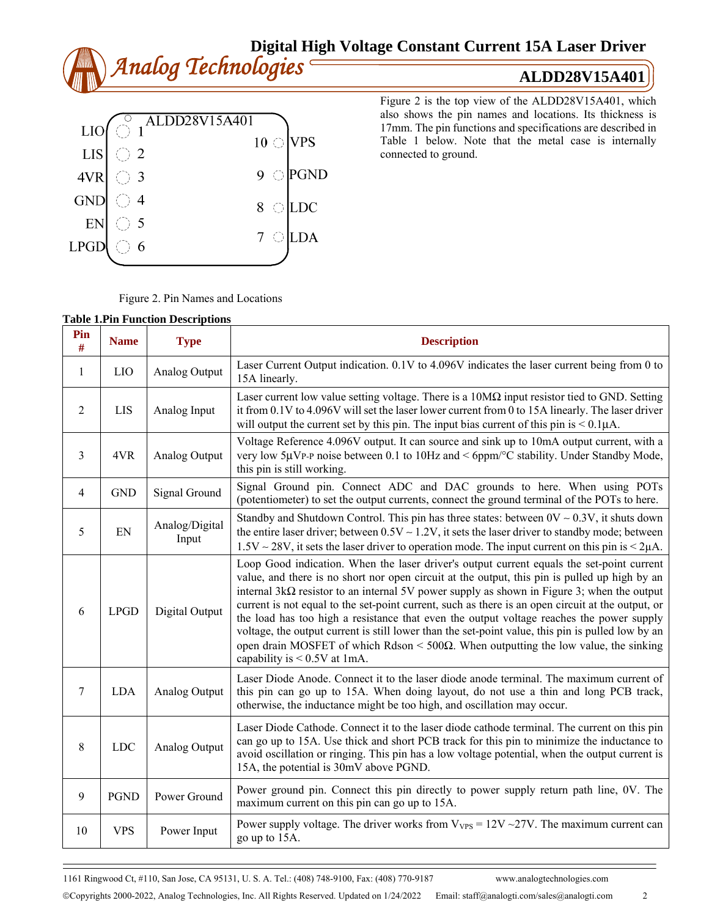

|                         |              | $\int_{\bigcirc}^{\circ} 1 \overline{ALDD28V15A401}$ |
|-------------------------|--------------|------------------------------------------------------|
| LIO<br>LIS <sup> </sup> | $\bigcirc$ 2 | $10$ O VPS                                           |
| 4VR                     | $\bigcirc$ 3 | $9$ O PGND                                           |
| <b>GND</b>              | $\bigcirc$ 4 |                                                      |
| <b>EN</b>               | $\bigcirc$ 5 | $8$ O LDC                                            |
| <b>LPGD</b>             | $\bigcirc$ 6 | $7$ O LDA                                            |
|                         |              |                                                      |

Figure 2 is the top view of the ALDD28V15A401, which also shows the pin names and locations. Its thickness is 17mm. The pin functions and specifications are described in Table 1 below. Note that the metal case is internally connected to ground.

Figure 2. Pin Names and Locations

|  | <b>Table 1.Pin Function Descriptions</b> |  |
|--|------------------------------------------|--|
|  |                                          |  |

| Pin<br># | <b>Name</b> | <b>Type</b>             | <b>Description</b>                                                                                                                                                                                                                                                                                                                                                                                                                                                                                                                                                                                                                                                                                                                 |  |  |  |
|----------|-------------|-------------------------|------------------------------------------------------------------------------------------------------------------------------------------------------------------------------------------------------------------------------------------------------------------------------------------------------------------------------------------------------------------------------------------------------------------------------------------------------------------------------------------------------------------------------------------------------------------------------------------------------------------------------------------------------------------------------------------------------------------------------------|--|--|--|
| 1        | LIO         | Analog Output           | Laser Current Output indication. 0.1V to 4.096V indicates the laser current being from 0 to<br>15A linearly.                                                                                                                                                                                                                                                                                                                                                                                                                                                                                                                                                                                                                       |  |  |  |
| 2        | <b>LIS</b>  | Analog Input            | Laser current low value setting voltage. There is a $10M\Omega$ input resistor tied to GND. Setting<br>it from 0.1V to 4.096V will set the laser lower current from 0 to 15A linearly. The laser driver<br>will output the current set by this pin. The input bias current of this pin is $\leq 0.1\mu A$ .                                                                                                                                                                                                                                                                                                                                                                                                                        |  |  |  |
| 3        | 4VR         | Analog Output           | Voltage Reference 4.096V output. It can source and sink up to 10mA output current, with a<br>very low 5µVP-P noise between 0.1 to 10Hz and < 6ppm/°C stability. Under Standby Mode,<br>this pin is still working.                                                                                                                                                                                                                                                                                                                                                                                                                                                                                                                  |  |  |  |
| 4        | <b>GND</b>  | Signal Ground           | Signal Ground pin. Connect ADC and DAC grounds to here. When using POTs<br>(potentiometer) to set the output currents, connect the ground terminal of the POTs to here.                                                                                                                                                                                                                                                                                                                                                                                                                                                                                                                                                            |  |  |  |
| 5        | EN          | Analog/Digital<br>Input | Standby and Shutdown Control. This pin has three states: between $0V \sim 0.3V$ , it shuts down<br>the entire laser driver; between $0.5V \sim 1.2V$ , it sets the laser driver to standby mode; between<br>$1.5V \sim 28V$ , it sets the laser driver to operation mode. The input current on this pin is < 2µA.                                                                                                                                                                                                                                                                                                                                                                                                                  |  |  |  |
| 6        | <b>LPGD</b> | Digital Output          | Loop Good indication. When the laser driver's output current equals the set-point current<br>value, and there is no short nor open circuit at the output, this pin is pulled up high by an<br>internal $3k\Omega$ resistor to an internal 5V power supply as shown in Figure 3; when the output<br>current is not equal to the set-point current, such as there is an open circuit at the output, or<br>the load has too high a resistance that even the output voltage reaches the power supply<br>voltage, the output current is still lower than the set-point value, this pin is pulled low by an<br>open drain MOSFET of which Rdson $\lt$ 500Ω. When outputting the low value, the sinking<br>capability is $< 0.5V$ at 1mA. |  |  |  |
| 7        | <b>LDA</b>  | Analog Output           | Laser Diode Anode. Connect it to the laser diode anode terminal. The maximum current of<br>this pin can go up to 15A. When doing layout, do not use a thin and long PCB track,<br>otherwise, the inductance might be too high, and oscillation may occur.                                                                                                                                                                                                                                                                                                                                                                                                                                                                          |  |  |  |
| 8        | <b>LDC</b>  | Analog Output           | Laser Diode Cathode. Connect it to the laser diode cathode terminal. The current on this pin<br>can go up to 15A. Use thick and short PCB track for this pin to minimize the inductance to<br>avoid oscillation or ringing. This pin has a low voltage potential, when the output current is<br>15A, the potential is 30mV above PGND.                                                                                                                                                                                                                                                                                                                                                                                             |  |  |  |
| 9        | <b>PGND</b> | Power Ground            | Power ground pin. Connect this pin directly to power supply return path line, 0V. The<br>maximum current on this pin can go up to 15A.                                                                                                                                                                                                                                                                                                                                                                                                                                                                                                                                                                                             |  |  |  |
| 10       | <b>VPS</b>  | Power Input             | Power supply voltage. The driver works from $V_{VPS} = 12V \sim 27V$ . The maximum current can<br>go up to 15A.                                                                                                                                                                                                                                                                                                                                                                                                                                                                                                                                                                                                                    |  |  |  |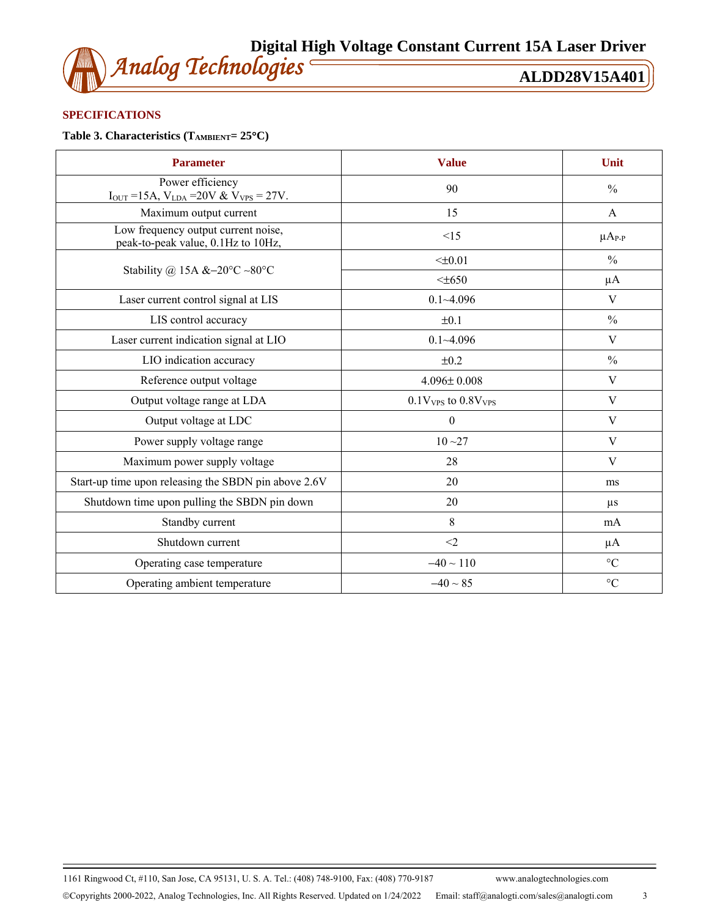

### **SPECIFICATIONS**

### **Table 3. Characteristics (TAMBIENT= 25**°**C)**

| <b>Parameter</b>                                                                             | <b>Value</b>                 | Unit            |
|----------------------------------------------------------------------------------------------|------------------------------|-----------------|
| Power efficiency<br>$I_{\text{OUT}} = 15A$ , $V_{\text{LDA}} = 20V & V_{\text{VPS}} = 27V$ . | 90                           | $\frac{0}{0}$   |
| Maximum output current                                                                       | 15                           | A               |
| Low frequency output current noise,<br>peak-to-peak value, 0.1Hz to 10Hz,                    | <15                          | $\mu A_{P-P}$   |
| Stability @ 15A &-20 $\degree$ C ~80 $\degree$ C                                             | $< \pm 0.01$                 | $\frac{0}{0}$   |
|                                                                                              | $<\pm 650$                   | $\mu A$         |
| Laser current control signal at LIS                                                          | $0.1 - 4.096$                | $\mathbf V$     |
| LIS control accuracy                                                                         | $\pm 0.1$                    | $\frac{0}{0}$   |
| Laser current indication signal at LIO                                                       | $0.1 - 4.096$                | $\mathbf V$     |
| LIO indication accuracy                                                                      | ±0.2                         | $\frac{0}{0}$   |
| Reference output voltage                                                                     | $4.096 \pm 0.008$            | $\mathbf{V}$    |
| Output voltage range at LDA                                                                  | $0.1V_{VPS}$ to $0.8V_{VPS}$ | V               |
| Output voltage at LDC                                                                        | $\boldsymbol{0}$             | V               |
| Power supply voltage range                                                                   | $10 - 27$                    | V               |
| Maximum power supply voltage                                                                 | 28                           | V               |
| Start-up time upon releasing the SBDN pin above 2.6V                                         | 20                           | ms              |
| Shutdown time upon pulling the SBDN pin down                                                 | 20                           | $\mu s$         |
| Standby current                                                                              | 8                            | mA              |
| Shutdown current                                                                             | $\leq$ 2                     | μA              |
| Operating case temperature                                                                   | $-40 \sim 110$               | $\rm ^{\circ}C$ |
| Operating ambient temperature                                                                | $-40 \sim 85$                | $\rm ^{\circ}C$ |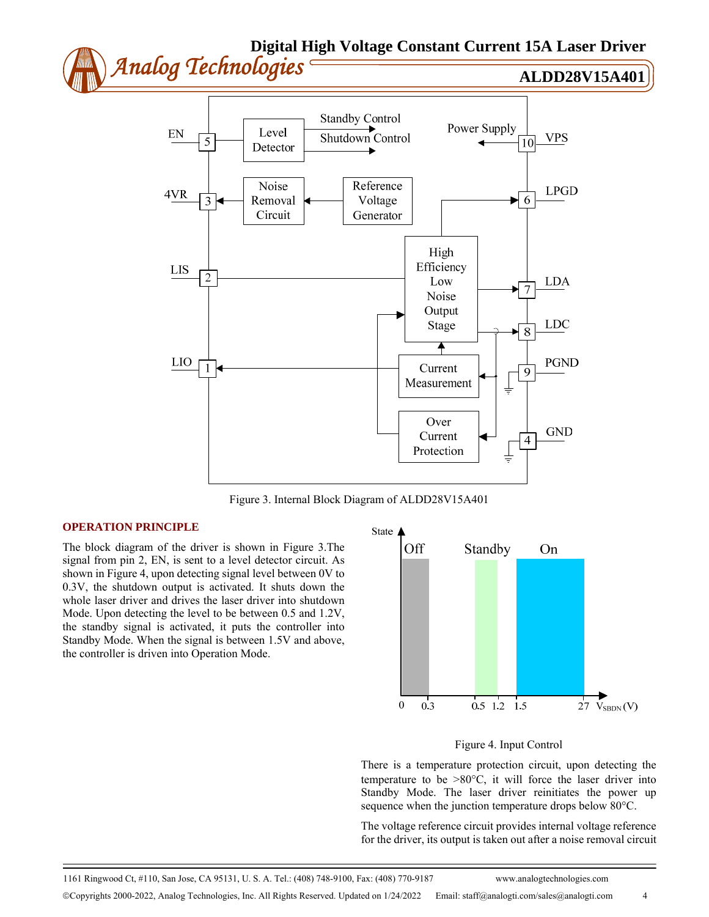



Figure 3. Internal Block Diagram of ALDD28V15A401

### **OPERATION PRINCIPLE**

The block diagram of the driver is shown in Figure 3.The signal from pin 2, EN, is sent to a level detector circuit. As shown in Figure 4, upon detecting signal level between 0V to 0.3V, the shutdown output is activated. It shuts down the whole laser driver and drives the laser driver into shutdown Mode. Upon detecting the level to be between 0.5 and 1.2V, the standby signal is activated, it puts the controller into Standby Mode. When the signal is between 1.5V and above, the controller is driven into Operation Mode.



### Figure 4. Input Control

There is a temperature protection circuit, upon detecting the temperature to be  $>80^{\circ}$ C, it will force the laser driver into Standby Mode. The laser driver reinitiates the power up sequence when the junction temperature drops below 80°C.

The voltage reference circuit provides internal voltage reference for the driver, its output is taken out after a noise removal circuit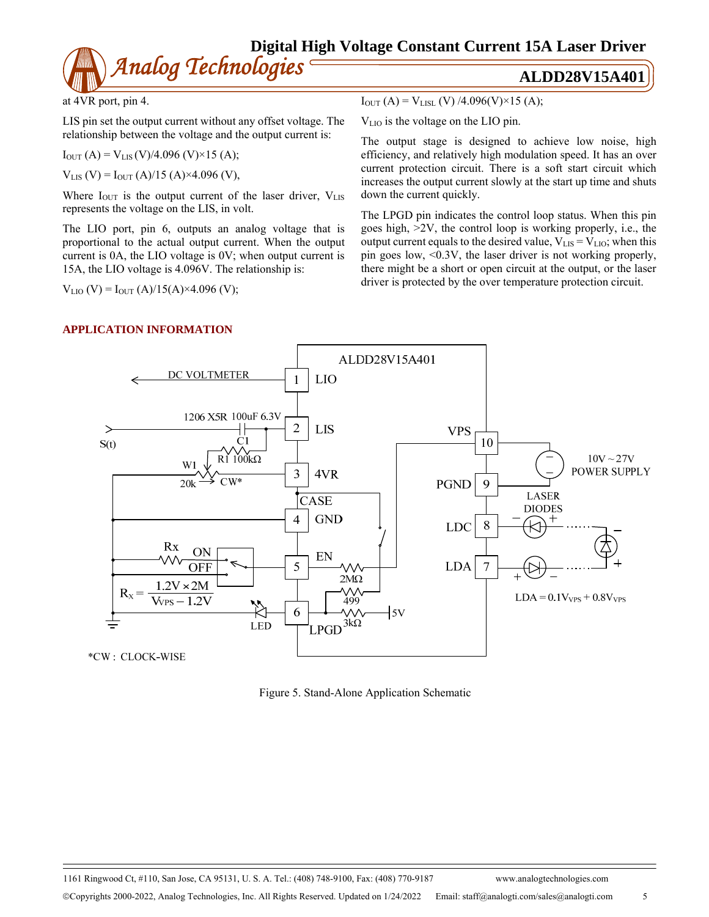

at 4VR port, pin 4.

 $I_{OUT} (A) = V_{LISL} (V) / 4.096 (V) \times 15 (A);$ 

LIS pin set the output current without any offset voltage. The relationship between the voltage and the output current is:

$$
I_{\text{OUT}}(A) = V_{\text{LIS}}(V)/4.096 (V) \times 15 (A);
$$

$$
V_{LIS}(V) = I_{OUT}(A)/15 (A) \times 4.096 (V),
$$

Where  $I_{\text{OUT}}$  is the output current of the laser driver,  $V_{\text{LIS}}$ represents the voltage on the LIS, in volt.

The LIO port, pin 6, outputs an analog voltage that is proportional to the actual output current. When the output current is 0A, the LIO voltage is 0V; when output current is 15A, the LIO voltage is 4.096V. The relationship is:

 $V_{LIO} (V) = I_{OUT} (A)/15(A) \times 4.096 (V);$ 

VLIO is the voltage on the LIO pin.

The output stage is designed to achieve low noise, high efficiency, and relatively high modulation speed. It has an over current protection circuit. There is a soft start circuit which increases the output current slowly at the start up time and shuts down the current quickly.

The LPGD pin indicates the control loop status. When this pin goes high, >2V, the control loop is working properly, i.e., the output current equals to the desired value,  $V_{LIS} = V_{LIO}$ ; when this pin goes low, <0.3V, the laser driver is not working properly, there might be a short or open circuit at the output, or the laser driver is protected by the over temperature protection circuit.



Figure 5. Stand-Alone Application Schematic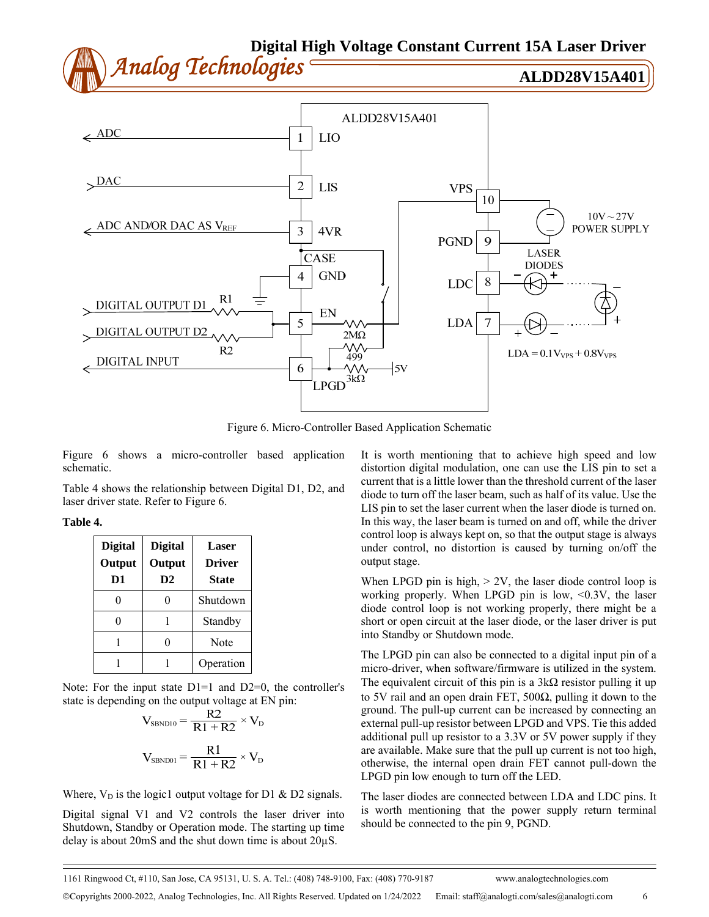



Figure 6. Micro-Controller Based Application Schematic

Figure 6 shows a micro-controller based application schematic.

Table 4 shows the relationship between Digital D1, D2, and laser driver state. Refer to Figure 6.

### **Table 4.**

| <b>Digital</b> | <b>Digital</b> | Laser         |
|----------------|----------------|---------------|
| Output         | Output         | <b>Driver</b> |
| D1             | D2             | <b>State</b>  |
| 0              |                | Shutdown      |
| 0              |                | Standby       |
|                |                | Note          |
|                |                | Operation     |

Note: For the input state D1=1 and D2=0, the controller's state is depending on the output voltage at EN pin:

$$
V_{\text{SBND10}} = \frac{R2}{R1 + R2} \times V_{\text{D}}
$$

$$
V_{\text{SBND01}} = \frac{R1}{R1 + R2} \times V_{\text{D}}
$$

Where,  $V_D$  is the logic1 output voltage for D1 & D2 signals.

Digital signal V1 and V2 controls the laser driver into Shutdown, Standby or Operation mode. The starting up time delay is about 20mS and the shut down time is about 20µS.

It is worth mentioning that to achieve high speed and low distortion digital modulation, one can use the LIS pin to set a current that is a little lower than the threshold current of the laser diode to turn off the laser beam, such as half of its value. Use the LIS pin to set the laser current when the laser diode is turned on. In this way, the laser beam is turned on and off, while the driver control loop is always kept on, so that the output stage is always under control, no distortion is caused by turning on/off the output stage.

When LPGD pin is high,  $> 2V$ , the laser diode control loop is working properly. When LPGD pin is low, <0.3V, the laser diode control loop is not working properly, there might be a short or open circuit at the laser diode, or the laser driver is put into Standby or Shutdown mode.

The LPGD pin can also be connected to a digital input pin of a micro-driver, when software/firmware is utilized in the system. The equivalent circuit of this pin is a  $3k\Omega$  resistor pulling it up to 5V rail and an open drain FET, 500Ω, pulling it down to the ground. The pull-up current can be increased by connecting an external pull-up resistor between LPGD and VPS. Tie this added additional pull up resistor to a 3.3V or 5V power supply if they are available. Make sure that the pull up current is not too high, otherwise, the internal open drain FET cannot pull-down the LPGD pin low enough to turn off the LED.

The laser diodes are connected between LDA and LDC pins. It is worth mentioning that the power supply return terminal should be connected to the pin 9, PGND.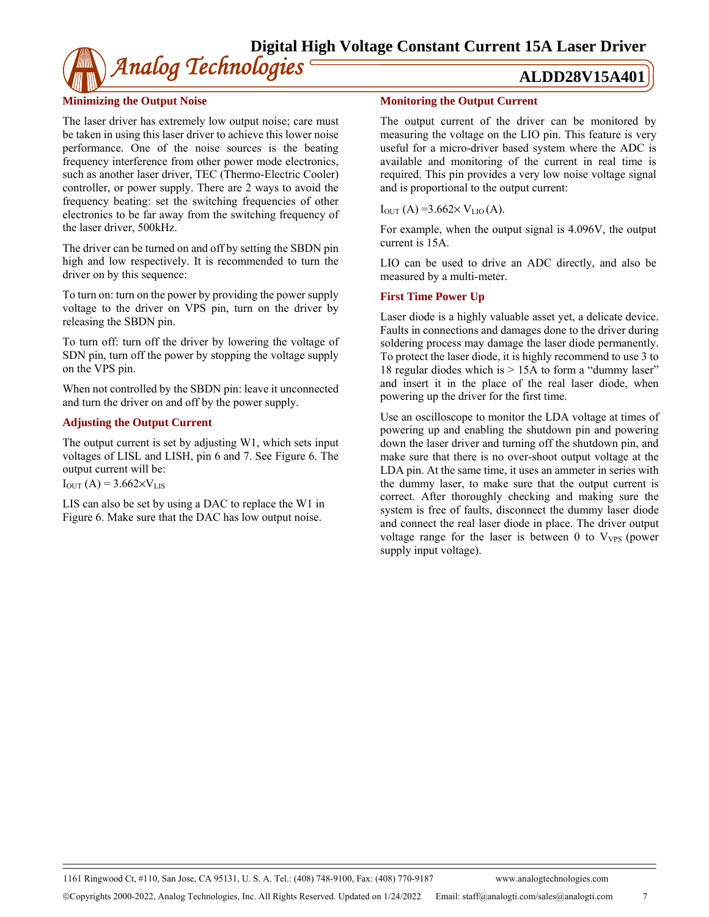

### **Minimizing the Output Noise**

The laser driver has extremely low output noise; care must be taken in using this laser driver to achieve this lower noise performance. One of the noise sources is the beating frequency interference from other power mode electronics, such as another laser driver, TEC (Thermo-Electric Cooler) controller, or power supply. There are 2 ways to avoid the frequency beating: set the switching frequencies of other electronics to be far away from the switching frequency of the laser driver, 500kHz.

The driver can be turned on and off by setting the SBDN pin high and low respectively. It is recommended to turn the driver on by this sequence:

To turn on: turn on the power by providing the power supply voltage to the driver on VPS pin, turn on the driver by releasing the SBDN pin.

To turn off: turn off the driver by lowering the voltage of SDN pin, turn off the power by stopping the voltage supply on the VPS pin.

When not controlled by the SBDN pin: leave it unconnected and turn the driver on and off by the power supply.

### **Adjusting the Output Current**

The output current is set by adjusting W1, which sets input voltages of LISL and LISH, pin 6 and 7. See Figure 6. The output current will be:

 $I_{OUT} (A) = 3.662 \times V_{LIS}$ 

LIS can also be set by using a DAC to replace the W1 in Figure 6. Make sure that the DAC has low output noise.

### **Monitoring the Output Current**

The output current of the driver can be monitored by measuring the voltage on the LIO pin. This feature is very useful for a micro-driver based system where the ADC is available and monitoring of the current in real time is required. This pin provides a very low noise voltage signal and is proportional to the output current:

 $I_{OUT} (A) = 3.662 \times V_{LIO} (A).$ 

For example, when the output signal is 4.096V, the output current is 15A.

LIO can be used to drive an ADC directly, and also be measured by a multi-meter.

### **First Time Power Up**

Laser diode is a highly valuable asset yet, a delicate device. Faults in connections and damages done to the driver during soldering process may damage the laser diode permanently. To protect the laser diode, it is highly recommend to use 3 to 18 regular diodes which is > 15A to form a "dummy laser" and insert it in the place of the real laser diode, when powering up the driver for the first time.

Use an oscilloscope to monitor the LDA voltage at times of powering up and enabling the shutdown pin and powering down the laser driver and turning off the shutdown pin, and make sure that there is no over-shoot output voltage at the LDA pin. At the same time, it uses an ammeter in series with the dummy laser, to make sure that the output current is correct. After thoroughly checking and making sure the system is free of faults, disconnect the dummy laser diode and connect the real laser diode in place. The driver output voltage range for the laser is between  $0$  to  $V_{VPS}$  (power supply input voltage).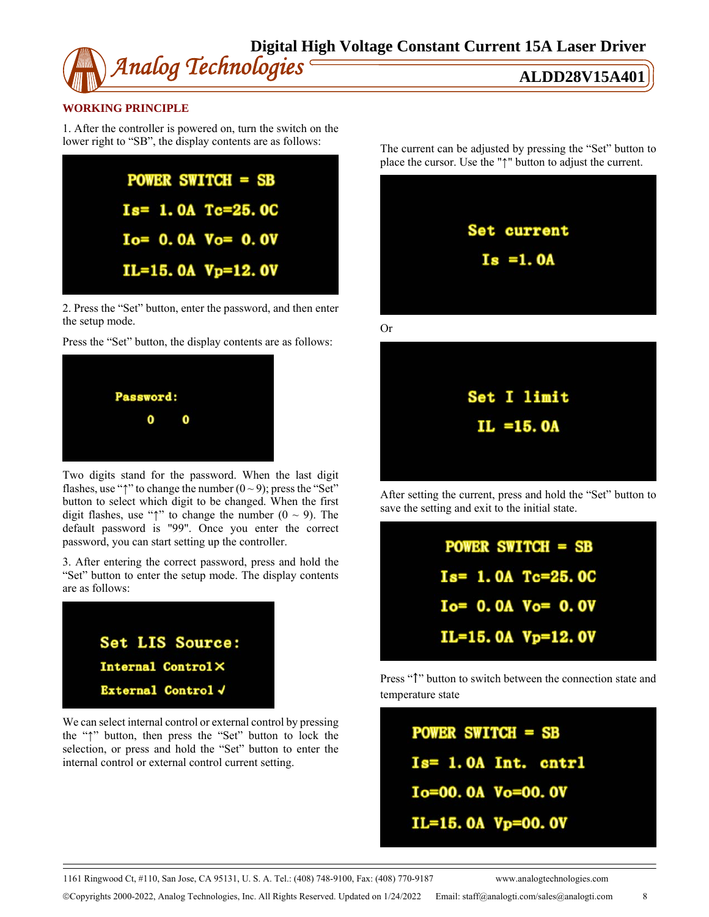### **WORKING PRINCIPLE**

1. After the controller is powered on, turn the switch on the lower right to "SB", the display contents are as follows:

| <b>POWER SWITCH = SB</b> |  |  |  |
|--------------------------|--|--|--|
| $Is = 1.0A$ Tc=25.0C     |  |  |  |
| $Io = 0.0A$ $Vo = 0.0V$  |  |  |  |
| IL=15.0A Vp=12.0V        |  |  |  |

2. Press the "Set" button, enter the password, and then enter the setup mode.



Press the "Set" button, the display contents are as follows:

Two digits stand for the password. When the last digit flashes, use " $\uparrow$ " to change the number (0 ~ 9); press the "Set" button to select which digit to be changed. When the first digit flashes, use "↑" to change the number  $(0 \sim 9)$ . The default password is "99". Once you enter the correct password, you can start setting up the controller.

3. After entering the correct password, press and hold the "Set" button to enter the setup mode. The display contents are as follows:

| Set LIS Source:    |
|--------------------|
| Internal Control X |
| External Control√  |

We can select internal control or external control by pressing the "↑" button, then press the "Set" button to lock the selection, or press and hold the "Set" button to enter the internal control or external control current setting.

The current can be adjusted by pressing the "Set" button to place the cursor. Use the "↑" button to adjust the current.



Or



After setting the current, press and hold the "Set" button to save the setting and exit to the initial state.

| <b>POWER SWITCH = SB</b> |
|--------------------------|
| $Is = 1.0A$ Tc=25.0C     |
| $Io = 0.0A$ $Vo = 0.0V$  |
| IL=15.0A Vp=12.0V        |

Press "↑" button to switch between the connection state and temperature state

**POWER SWITCH = SB**  $Is = 1.0A$  Int. cntrl Io=00.0A Vo=00.0V IL=15.0A Vp=00.0V

1161 Ringwood Ct, #110, San Jose, CA 95131, U. S. A. Tel.: (408) 748-9100, Fax: (408) 770-9187 www.analogtechnologies.com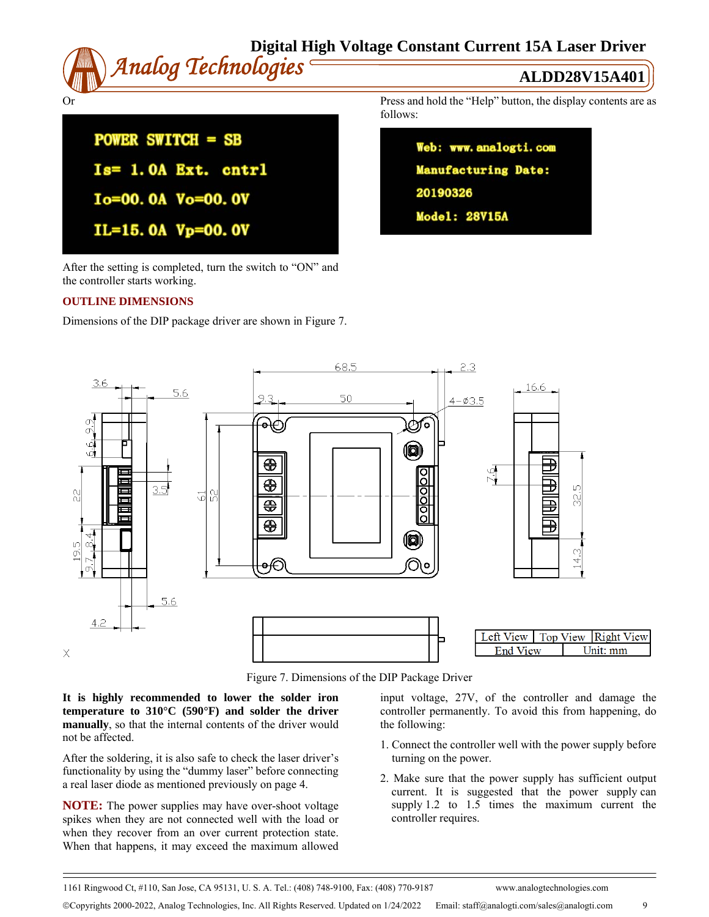

After the setting is completed, turn the switch to "ON" and the controller starts working.

### **OUTLINE DIMENSIONS**

Dimensions of the DIP package driver are shown in Figure 7.

Press and hold the "Help" button, the display contents are as follows:

| Web: www.analogti.com |  |
|-----------------------|--|
| Manufacturing Date:   |  |
| 20190326              |  |
| Model: 28V15A         |  |



Figure 7. Dimensions of the DIP Package Driver

**It is highly recommended to lower the solder iron temperature to 310°C (590°F) and solder the driver manually**, so that the internal contents of the driver would not be affected.

After the soldering, it is also safe to check the laser driver's functionality by using the "dummy laser" before connecting a real laser diode as mentioned previously on page 4.

**NOTE:** The power supplies may have over-shoot voltage spikes when they are not connected well with the load or when they recover from an over current protection state. When that happens, it may exceed the maximum allowed

input voltage, 27V, of the controller and damage the controller permanently. To avoid this from happening, do the following:

- 1. Connect the controller well with the power supply before turning on the power.
- 2. Make sure that the power supply has sufficient output current. It is suggested that the power supply can supply 1.2 to 1.5 times the maximum current the controller requires.

1161 Ringwood Ct, #110, San Jose, CA 95131, U. S. A. Tel.: (408) 748-9100, Fax: (408) 770-9187 www.analogtechnologies.com